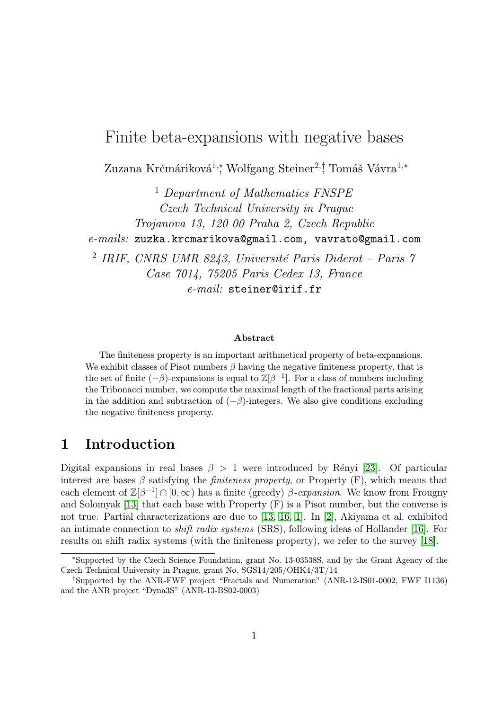# Finite beta-expansions with negative bases

Zuzana Krčmáriková<sup>1,</sup>\*, Wolfgang Steiner<sup>2,†</sup> Tomáš Vávra<sup>1,∗</sup>

<sup>1</sup> Department of Mathematics FNSPE Czech Technical University in Prague Trojanova 13, 120 00 Praha 2, Czech Republic e-mails: zuzka.krcmarikova@gmail.com, vavrato@gmail.com 2 IRIF, CNRS UMR 8243, Université Paris Diderot – Paris 7 Case 7014, 75205 Paris Cedex 13, France e-mail: steiner@irif.fr

#### Abstract

The finiteness property is an important arithmetical property of beta-expansions. We exhibit classes of Pisot numbers  $\beta$  having the negative finiteness property, that is the set of finite  $(-\beta)$ -expansions is equal to  $\mathbb{Z}[\beta^{-1}]$ . For a class of numbers including the Tribonacci number, we compute the maximal length of the fractional parts arising in the addition and subtraction of  $(-\beta)$ -integers. We also give conditions excluding the negative finiteness property.

### 1 Introduction

Digital expansions in real bases  $\beta > 1$  were introduced by Rényi [\[23\]](#page-16-0). Of particular interest are bases  $\beta$  satisfying the *finiteness property*, or Property (F), which means that each element of  $\mathbb{Z}[\beta^{-1}] \cap [0,\infty)$  has a finite (greedy)  $\beta$ -expansion. We know from Frougny and Solomyak [\[13\]](#page-15-0) that each base with Property (F) is a Pisot number, but the converse is not true. Partial characterizations are due to [\[13,](#page-15-0) [16,](#page-16-1) [1\]](#page-15-1). In [\[2\]](#page-15-2), Akiyama et al. exhibited an intimate connection to shift radix systems (SRS), following ideas of Hollander [\[16\]](#page-16-1). For results on shift radix systems (with the finiteness property), we refer to the survey [\[18\]](#page-16-2).

<sup>∗</sup>Supported by the Czech Science Foundation, grant No. 13-03538S, and by the Grant Agency of the Czech Technical University in Prague, grant No. SGS14/205/OHK4/3T/14

<sup>†</sup>Supported by the ANR-FWF project "Fractals and Numeration" (ANR-12-IS01-0002, FWF I1136) and the ANR project "Dyna3S" (ANR-13-BS02-0003)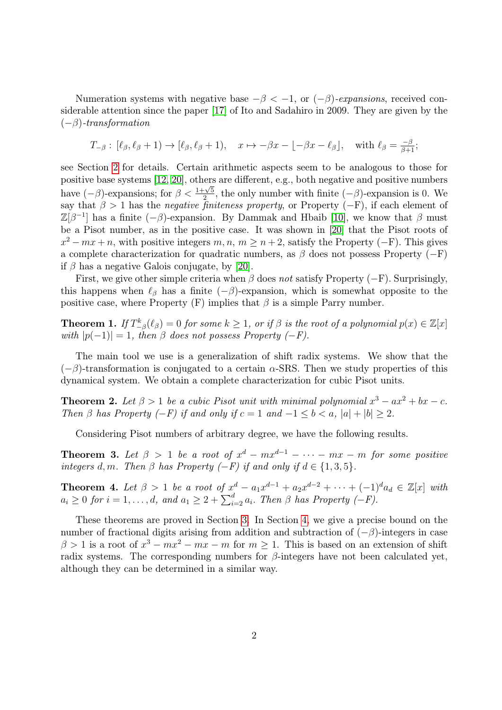Numeration systems with negative base  $-\beta < -1$ , or  $(-\beta)$ -expansions, received considerable attention since the paper [\[17\]](#page-16-3) of Ito and Sadahiro in 2009. They are given by the  $(-\beta)$ -transformation

$$
T_{-\beta} : [\ell_{\beta}, \ell_{\beta} + 1) \to [\ell_{\beta}, \ell_{\beta} + 1), \quad x \mapsto -\beta x - \lfloor -\beta x - \ell_{\beta} \rfloor, \quad \text{with } \ell_{\beta} = \frac{-\beta}{\beta + 1};
$$

see Section [2](#page-2-0) for details. Certain arithmetic aspects seem to be analogous to those for positive base systems [\[12,](#page-15-3) [20\]](#page-16-4), others are different, e.g., both negative and positive numbers have  $(-\beta)$ -expansions; for  $\beta < \frac{1+\sqrt{5}}{2}$  $\frac{2-\sqrt{5}}{2}$ , the only number with finite  $(-\beta)$ -expansion is 0. We say that  $\beta > 1$  has the *negative finiteness property*, or Property ( $-F$ ), if each element of  $\mathbb{Z}[\beta^{-1}]$  has a finite  $(-\beta)$ -expansion. By Dammak and Hbaib [\[10\]](#page-15-4), we know that  $\beta$  must be a Pisot number, as in the positive case. It was shown in [\[20\]](#page-16-4) that the Pisot roots of  $x^2 - mx + n$ , with positive integers  $m, n, m \geq n+2$ , satisfy the Property (-F). This gives a complete characterization for quadratic numbers, as  $\beta$  does not possess Property (−F) if  $\beta$  has a negative Galois conjugate, by [\[20\]](#page-16-4).

First, we give other simple criteria when  $\beta$  does not satisfy Property ( $-F$ ). Surprisingly, this happens when  $\ell_{\beta}$  has a finite (−β)-expansion, which is somewhat opposite to the positive case, where Property (F) implies that  $\beta$  is a simple Parry number.

<span id="page-1-0"></span>**Theorem 1.** If  $T_{-\beta}^k(\ell_\beta) = 0$  for some  $k \geq 1$ , or if  $\beta$  is the root of a polynomial  $p(x) \in \mathbb{Z}[x]$ with  $|p(-1)| = 1$ , then  $\beta$  does not possess Property (-F).

The main tool we use is a generalization of shift radix systems. We show that the  $(-\beta)$ -transformation is conjugated to a certain  $\alpha$ -SRS. Then we study properties of this dynamical system. We obtain a complete characterization for cubic Pisot units.

<span id="page-1-2"></span>**Theorem 2.** Let  $\beta > 1$  be a cubic Pisot unit with minimal polynomial  $x^3 - ax^2 + bx - c$ . Then β has Property  $(-F)$  if and only if  $c = 1$  and  $-1 \le b \le a$ ,  $|a| + |b| \ge 2$ .

Considering Pisot numbers of arbitrary degree, we have the following results.

<span id="page-1-3"></span>**Theorem 3.** Let  $\beta > 1$  be a root of  $x^d - mx^{d-1} - \cdots - mx - m$  for some positive integers d, m. Then β has Property  $(-F)$  if and only if  $d \in \{1, 3, 5\}.$ 

<span id="page-1-1"></span>**Theorem 4.** Let  $\beta > 1$  be a root of  $x^d - a_1 x^{d-1} + a_2 x^{d-2} + \cdots + (-1)^d a_d \in \mathbb{Z}[x]$  with  $a_i \geq 0$  for  $i = 1, \ldots, d$ , and  $a_1 \geq 2 + \sum_{i=2}^{d} a_i$ . Then  $\beta$  has Property  $(-F)$ .

These theorems are proved in Section [3.](#page-2-1) In Section [4,](#page-8-0) we give a precise bound on the number of fractional digits arising from addition and subtraction of  $(-\beta)$ -integers in case  $\beta > 1$  is a root of  $x^3 - mx^2 - mx - m$  for  $m \ge 1$ . This is based on an extension of shift radix systems. The corresponding numbers for  $\beta$ -integers have not been calculated yet, although they can be determined in a similar way.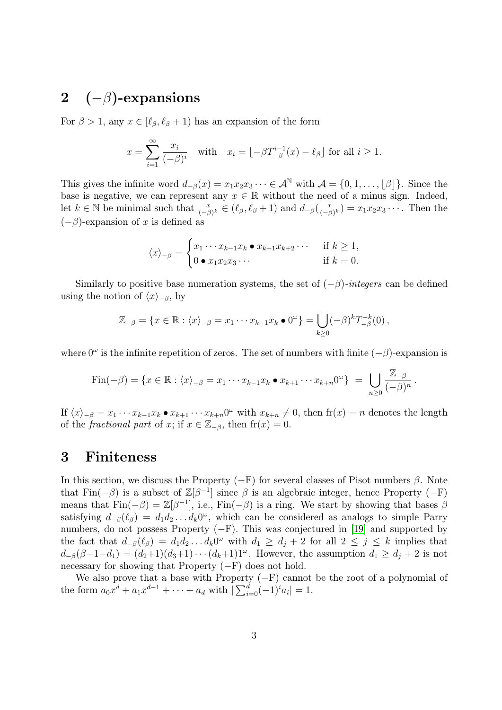## <span id="page-2-0"></span>2  $(-\beta)$ -expansions

For  $\beta > 1$ , any  $x \in [\ell_\beta, \ell_\beta + 1]$  has an expansion of the form

$$
x = \sum_{i=1}^{\infty} \frac{x_i}{(-\beta)^i} \quad \text{with} \quad x_i = \lfloor -\beta T_{-\beta}^{i-1}(x) - \ell_{\beta} \rfloor \text{ for all } i \ge 1.
$$

This gives the infinite word  $d_{-\beta}(x) = x_1x_2x_3\cdots \in \mathcal{A}^{\mathbb{N}}$  with  $\mathcal{A} = \{0, 1, \ldots, |\beta|\}$ . Since the base is negative, we can represent any  $x \in \mathbb{R}$  without the need of a minus sign. Indeed, let  $k \in \mathbb{N}$  be minimal such that  $\frac{x}{(-\beta)^k} \in (\ell_\beta, \ell_\beta + 1)$  and  $d_{-\beta}(\frac{x}{(-\beta)^k})$  $\frac{x}{(-\beta)^k}$  =  $x_1x_2x_3\cdots$ . Then the  $(-\beta)$ -expansion of x is defined as

$$
\langle x \rangle_{-\beta} = \begin{cases} x_1 \cdots x_{k-1} x_k \bullet x_{k+1} x_{k+2} \cdots & \text{if } k \ge 1, \\ 0 \bullet x_1 x_2 x_3 \cdots & \text{if } k = 0. \end{cases}
$$

Similarly to positive base numeration systems, the set of  $(-\beta)$ -integers can be defined using the notion of  $\langle x\rangle_{-\beta}$ , by

$$
\mathbb{Z}_{-\beta} = \{x \in \mathbb{R} : \langle x \rangle_{-\beta} = x_1 \cdots x_{k-1} x_k \bullet 0^{\omega}\} = \bigcup_{k \geq 0} (-\beta)^k T_{-\beta}^{-k}(0),
$$

where  $0^{\omega}$  is the infinite repetition of zeros. The set of numbers with finite  $(-\beta)$ -expansion is

$$
\operatorname{Fin}(-\beta) = \{x \in \mathbb{R} : \langle x \rangle_{-\beta} = x_1 \cdots x_{k-1} x_k \bullet x_{k+1} \cdots x_{k+n} 0^{\omega} \} = \bigcup_{n \geq 0} \frac{\mathbb{Z}_{-\beta}}{(-\beta)^n}.
$$

If  $\langle x \rangle_{-\beta} = x_1 \cdots x_{k-1}x_k \bullet x_{k+1} \cdots x_{k+n}0^{\omega}$  with  $x_{k+n} \neq 0$ , then  $f(x) = n$  denotes the length of the *fractional part* of x; if  $x \in \mathbb{Z}_{-\beta}$ , then  $f(x) = 0$ .

#### <span id="page-2-1"></span>3 Finiteness

In this section, we discuss the Property  $(-F)$  for several classes of Pisot numbers  $\beta$ . Note that Fin(- $\beta$ ) is a subset of  $\mathbb{Z}[\beta^{-1}]$  since  $\beta$  is an algebraic integer, hence Property (-F) means that  $\text{Fin}(-\beta) = \mathbb{Z}[\beta^{-1}]$ , i.e.,  $\text{Fin}(-\beta)$  is a ring. We start by showing that bases  $\beta$ satisfying  $d_{-\beta}(\ell_{\beta}) = d_1 d_2 \dots d_k 0^{\omega}$ , which can be considered as analogs to simple Parry numbers, do not possess Property  $(-F)$ . This was conjectured in [\[19\]](#page-16-5) and supported by the fact that  $d_{-\beta}(\ell_{\beta}) = d_1 d_2 \dots d_k 0^{\omega}$  with  $d_1 \geq d_j + 2$  for all  $2 \leq j \leq k$  implies that  $d_{-\beta}(\beta-1-d_1) = (d_2+1)(d_3+1)\cdots(d_k+1)1^{\omega}$ . However, the assumption  $d_1 \geq d_j+2$  is not necessary for showing that Property  $(-F)$  does not hold.

We also prove that a base with Property  $(-F)$  cannot be the root of a polynomial of the form  $a_0x^d + a_1x^{d-1} + \cdots + a_d$  with  $\left| \sum_{i=0}^d (-1)^i a_i \right| = 1$ .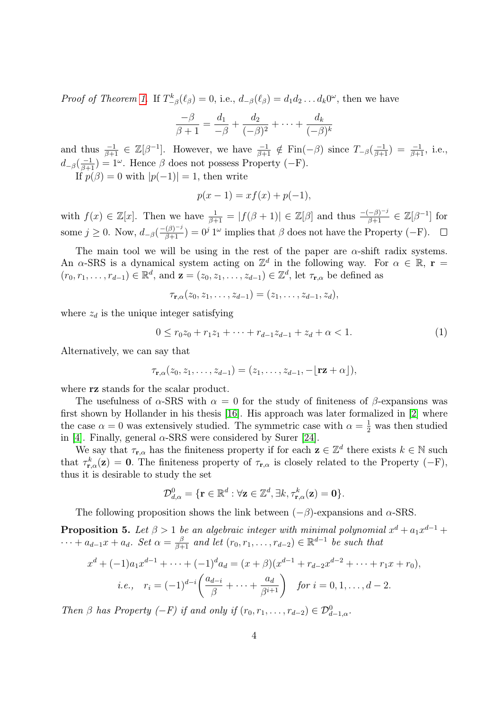*Proof of Theorem [1.](#page-1-0)* If  $T_{-\beta}^k(\ell_\beta) = 0$ , i.e.,  $d_{-\beta}(\ell_\beta) = d_1 d_2 \dots d_k 0^\omega$ , then we have

$$
\frac{-\beta}{\beta+1} = \frac{d_1}{-\beta} + \frac{d_2}{(-\beta)^2} + \dots + \frac{d_k}{(-\beta)^k}
$$

and thus  $\frac{-1}{\beta+1} \in \mathbb{Z}[\beta^{-1}]$ . However, we have  $\frac{-1}{\beta+1} \notin \text{Fin}(-\beta)$  since  $T_{-\beta}(\frac{-1}{\beta+1}) = \frac{-1}{\beta+1}$ , i.e.,  $d_{-\beta}(\frac{-1}{\beta+1}) = 1^{\omega}$ . Hence  $\beta$  does not possess Property (-F). If  $p(\beta) = 0$  with  $|p(-1)| = 1$ , then write

$$
p(x - 1) = xf(x) + p(-1),
$$

with  $f(x) \in \mathbb{Z}[x]$ . Then we have  $\frac{1}{\beta+1} = |f(\beta+1)| \in \mathbb{Z}[\beta]$  and thus  $\frac{-(-\beta)^{-j}}{\beta+1} \in \mathbb{Z}[\beta^{-1}]$  for some  $j \geq 0$ . Now,  $d_{-\beta}(\frac{-(\beta)^{-j}}{\beta+1}) = 0^j 1^\omega$  implies that  $\beta$  does not have the Property (-F).

The main tool we will be using in the rest of the paper are  $\alpha$ -shift radix systems. An  $\alpha$ -SRS is a dynamical system acting on  $\mathbb{Z}^d$  in the following way. For  $\alpha \in \mathbb{R}$ ,  $\mathbf{r} =$  $(r_0, r_1, \ldots, r_{d-1}) \in \mathbb{R}^d$ , and  $\mathbf{z} = (z_0, z_1, \ldots, z_{d-1}) \in \mathbb{Z}^d$ , let  $\tau_{\mathbf{r}, \alpha}$  be defined as

$$
\tau_{\mathbf{r},\alpha}(z_0,z_1,\ldots,z_{d-1})=(z_1,\ldots,z_{d-1},z_d),
$$

where  $z_d$  is the unique integer satisfying

$$
0 \le r_0 z_0 + r_1 z_1 + \dots + r_{d-1} z_{d-1} + z_d + \alpha < 1. \tag{1}
$$

Alternatively, we can say that

$$
\tau_{\mathbf{r},\alpha}(z_0,z_1,\ldots,z_{d-1})=(z_1,\ldots,z_{d-1},-\lfloor \mathbf{rz}+\alpha\rfloor),
$$

where **rz** stands for the scalar product.

The usefulness of  $\alpha$ -SRS with  $\alpha = 0$  for the study of finiteness of  $\beta$ -expansions was first shown by Hollander in his thesis [\[16\]](#page-16-1). His approach was later formalized in [\[2\]](#page-15-2) where the case  $\alpha = 0$  was extensively studied. The symmetric case with  $\alpha = \frac{1}{2}$  was then studied in [\[4\]](#page-15-5). Finally, general  $\alpha$ -SRS were considered by Surer [\[24\]](#page-16-6).

We say that  $\tau_{\mathbf{r},\alpha}$  has the finiteness property if for each  $\mathbf{z} \in \mathbb{Z}^d$  there exists  $k \in \mathbb{N}$  such that  $\tau_{\mathbf{r},\alpha}^k(\mathbf{z}) = \mathbf{0}$ . The finiteness property of  $\tau_{\mathbf{r},\alpha}$  is closely related to the Property (-F), thus it is desirable to study the set

$$
\mathcal{D}_{d,\alpha}^0 = \{ \mathbf{r} \in \mathbb{R}^d : \forall \mathbf{z} \in \mathbb{Z}^d, \exists k, \tau_{\mathbf{r},\alpha}^k(\mathbf{z}) = \mathbf{0} \}.
$$

The following proposition shows the link between  $(-\beta)$ -expansions and  $\alpha$ -SRS.

<span id="page-3-0"></span>**Proposition 5.** Let  $\beta > 1$  be an algebraic integer with minimal polynomial  $x^d + a_1 x^{d-1} +$  $\cdots + a_{d-1}x + a_d$ . Set  $\alpha = \frac{\beta}{\beta+1}$  and let  $(r_0, r_1, \ldots, r_{d-2}) \in \mathbb{R}^{d-1}$  be such that

$$
x^{d} + (-1)a_{1}x^{d-1} + \cdots + (-1)^{d}a_{d} = (x + \beta)(x^{d-1} + r_{d-2}x^{d-2} + \cdots + r_{1}x + r_{0}),
$$
  
*i.e.*,  $r_{i} = (-1)^{d-i} \left( \frac{a_{d-i}}{\beta} + \cdots + \frac{a_{d}}{\beta^{i+1}} \right)$  for  $i = 0, 1, ..., d-2$ .

Then  $\beta$  has Property  $(-F)$  if and only if  $(r_0, r_1, \ldots, r_{d-2}) \in \mathcal{D}^0_{d-1,\alpha}$ .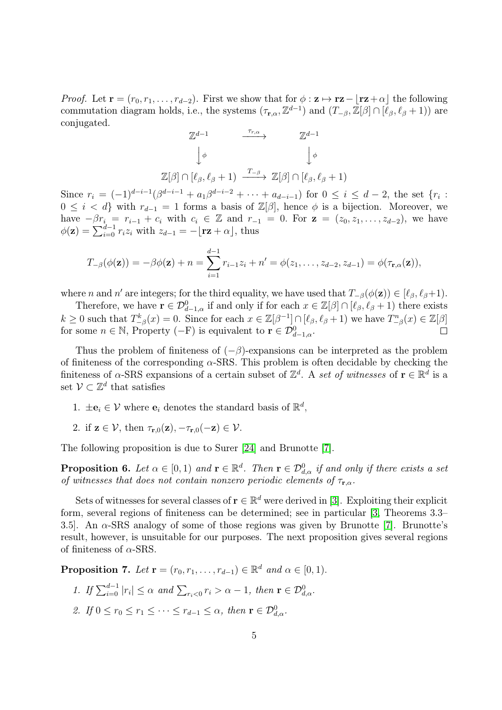*Proof.* Let  $\mathbf{r} = (r_0, r_1, \ldots, r_{d-2})$ . First we show that for  $\phi : \mathbf{z} \mapsto \mathbf{r}\mathbf{z} - |\mathbf{r}\mathbf{z} + \alpha|$  the following commutation diagram holds, i.e., the systems  $(\tau_{\mathbf{r},\alpha}, \mathbb{Z}^{d-1})$  and  $(T_{-\beta}, \mathbb{Z}[\beta] \cap [\ell_\beta, \ell_\beta + 1))$  are conjugated.

$$
\mathbb{Z}^{d-1} \longrightarrow \mathbb{Z}^{d-1}
$$
  

$$
\downarrow \phi \qquad \qquad \downarrow \phi
$$
  

$$
\mathbb{Z}[\beta] \cap [\ell_{\beta}, \ell_{\beta} + 1) \xrightarrow{T_{-\beta}} \mathbb{Z}[\beta] \cap [\ell_{\beta}, \ell_{\beta} + 1)
$$

Since  $r_i = (-1)^{d-i-1} (\beta^{d-i-1} + a_1 \beta^{d-i-2} + \cdots + a_{d-i-1})$  for  $0 \le i \le d-2$ , the set  $\{r_i :$  $0 \leq i < d$  with  $r_{d-1} = 1$  forms a basis of  $\mathbb{Z}[\beta]$ , hence  $\phi$  is a bijection. Moreover, we have  $-\beta r_i = r_{i-1} + c_i$  with  $c_i \in \mathbb{Z}$  and  $r_{-1} = 0$ . For  $z = (z_0, z_1, \ldots, z_{d-2})$ , we have  $\phi(\mathbf{z}) = \sum_{i=0}^{d-1} r_i z_i$  with  $z_{d-1} = -\lfloor \mathbf{r} \mathbf{z} + \alpha \rfloor$ , thus

$$
T_{-\beta}(\phi(\mathbf{z})) = -\beta \phi(\mathbf{z}) + n = \sum_{i=1}^{d-1} r_{i-1} z_i + n' = \phi(z_1, \dots, z_{d-2}, z_{d-1}) = \phi(\tau_{\mathbf{r}, \alpha}(\mathbf{z})),
$$

where *n* and *n'* are integers; for the third equality, we have used that  $T_{-\beta}(\phi(\mathbf{z})) \in [\ell_\beta, \ell_\beta+1)$ .

Therefore, we have  $\mathbf{r} \in \mathcal{D}_{d-1,\alpha}^0$  if and only if for each  $x \in \mathbb{Z}[\beta] \cap [\ell_\beta, \ell_\beta + 1)$  there exists  $k \geq 0$  such that  $T_{-\beta}^k(x) = 0$ . Since for each  $x \in \mathbb{Z}[\beta^{-1}] \cap [\ell_\beta, \ell_\beta + 1)$  we have  $T_{-\beta}^n(x) \in \mathbb{Z}[\beta]$ for some  $n \in \mathbb{N}$ , Property  $(-F)$  is equivalent to  $\mathbf{r} \in \mathcal{D}^0_{d-1,\alpha}$ .  $\Box$ 

Thus the problem of finiteness of  $(-\beta)$ -expansions can be interpreted as the problem of finiteness of the corresponding  $\alpha$ -SRS. This problem is often decidable by checking the finiteness of  $\alpha$ -SRS expansions of a certain subset of  $\mathbb{Z}^d$ . A set of witnesses of  $\mathbf{r} \in \mathbb{R}^d$  is a set  $\mathcal{V} \subset \mathbb{Z}^d$  that satisfies

- 1.  $\pm \mathbf{e}_i \in \mathcal{V}$  where  $\mathbf{e}_i$  denotes the standard basis of  $\mathbb{R}^d$ ,
- 2. if  $z \in \mathcal{V}$ , then  $\tau_{r,0}(z)$ ,  $-\tau_{r,0}(-z) \in \mathcal{V}$ .

The following proposition is due to Surer [\[24\]](#page-16-6) and Brunotte [\[7\]](#page-15-6).

**Proposition 6.** Let  $\alpha \in [0,1)$  and  $\mathbf{r} \in \mathbb{R}^d$ . Then  $\mathbf{r} \in \mathcal{D}^0_{d,\alpha}$  if and only if there exists a set of witnesses that does not contain nonzero periodic elements of  $\tau_{\mathbf{r} \cdot \alpha}$ .

Sets of witnesses for several classes of  $\mathbf{r} \in \mathbb{R}^d$  were derived in [\[3\]](#page-15-7). Exploiting their explicit form, several regions of finiteness can be determined; see in particular [\[3,](#page-15-7) Theorems 3.3– 3.5. An  $\alpha$ -SRS analogy of some of those regions was given by Brunotte [\[7\]](#page-15-6). Brunotte's result, however, is unsuitable for our purposes. The next proposition gives several regions of finiteness of  $\alpha$ -SRS.

<span id="page-4-0"></span>**Proposition 7.** Let  $\mathbf{r} = (r_0, r_1, \dots, r_{d-1}) \in \mathbb{R}^d$  and  $\alpha \in [0, 1)$ .

- 1. If  $\sum_{i=0}^{d-1} |r_i| \leq \alpha$  and  $\sum_{r_i < 0} r_i > \alpha 1$ , then  $\mathbf{r} \in \mathcal{D}^0_{d,\alpha}$ .
- 2. If  $0 \le r_0 \le r_1 \le \cdots \le r_{d-1} \le \alpha$ , then  $\mathbf{r} \in \mathcal{D}_{d,\alpha}^0$ .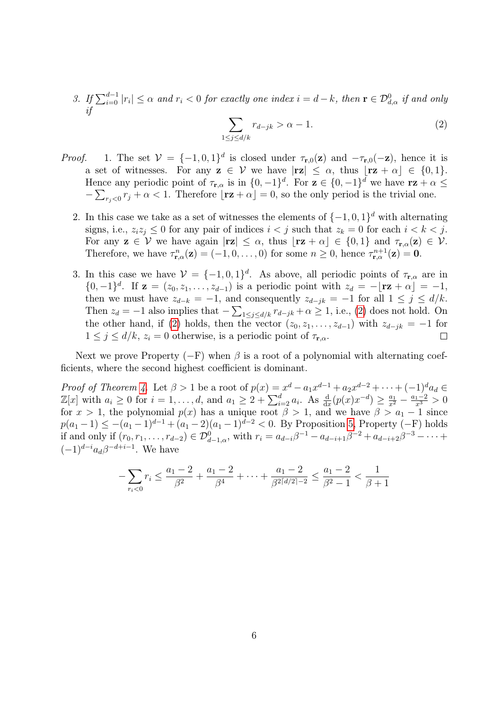3. If  $\sum_{i=0}^{d-1} |r_i| \leq \alpha$  and  $r_i < 0$  for exactly one index  $i = d - k$ , then  $\mathbf{r} \in \mathcal{D}_{d,\alpha}^0$  if and only if

<span id="page-5-0"></span>
$$
\sum_{1 \le j \le d/k} r_{d-jk} > \alpha - 1. \tag{2}
$$

- *Proof.* 1. The set  $V = \{-1, 0, 1\}^d$  is closed under  $\tau_{r,0}(z)$  and  $-\tau_{r,0}(-z)$ , hence it is a set of witnesses. For any  $z \in V$  we have  $|rz| \leq \alpha$ , thus  $|rz + \alpha| \in \{0, 1\}.$ Hence any periodic point of  $\tau_{\mathbf{r},\alpha}$  is in  $\{0,-1\}^d$ . For  $\mathbf{z} \in \{0,-1\}^d$  we have  $\mathbf{r}\mathbf{z} + \alpha \leq \mathbf{z}$  $-\sum_{r_j<0} r_j+\alpha<1$ . Therefore  $\lfloor r\mathbf{z}+\alpha\rfloor=0$ , so the only period is the trivial one.
	- 2. In this case we take as a set of witnesses the elements of  $\{-1,0,1\}^d$  with alternating signs, i.e.,  $z_i z_j \leq 0$  for any pair of indices  $i < j$  such that  $z_k = 0$  for each  $i < k < j$ . For any  $z \in V$  we have again  $|rz| \leq \alpha$ , thus  $[rz + \alpha] \in \{0, 1\}$  and  $\tau_{r,\alpha}(z) \in V$ . Therefore, we have  $\tau_{\mathbf{r},\alpha}^n(\mathbf{z}) = (-1,0,\ldots,0)$  for some  $n \geq 0$ , hence  $\tau_{\mathbf{r},\alpha}^{n+1}(\mathbf{z}) = \mathbf{0}$ .
	- 3. In this case we have  $\mathcal{V} = \{-1,0,1\}^d$ . As above, all periodic points of  $\tau_{\mathbf{r},\alpha}$  are in  $\{0,-1\}^d$ . If  $\mathbf{z} = (z_0, z_1, \ldots, z_{d-1})$  is a periodic point with  $z_d = -\lfloor \mathbf{rz} + \alpha \rfloor = -1$ , then we must have  $z_{d-k} = -1$ , and consequently  $z_{d-jk} = -1$  for all  $1 \le j \le d/k$ . Then  $z_d = -1$  also implies that  $-\sum_{1 \leq j \leq d/k} r_{d-jk} + \alpha \geq 1$ , i.e., [\(2\)](#page-5-0) does not hold. On the other hand, if [\(2\)](#page-5-0) holds, then the vector  $(z_0, z_1, \ldots, z_{d-1})$  with  $z_{d-jk} = -1$  for  $1 \leq j \leq d/k$ ,  $z_i = 0$  otherwise, is a periodic point of  $\tau_{\mathbf{r},\alpha}$ .  $\Box$

Next we prove Property  $(-F)$  when  $\beta$  is a root of a polynomial with alternating coefficients, where the second highest coefficient is dominant.

*Proof of Theorem [4.](#page-1-1)* Let  $\beta > 1$  be a root of  $p(x) = x^d - a_1 x^{d-1} + a_2 x^{d-2} + \cdots + (-1)^d a_d \in$  $\mathbb{Z}[x]$  with  $a_i \geq 0$  for  $i = 1, ..., d$ , and  $a_1 \geq 2 + \sum_{i=2}^d a_i$ . As  $\frac{d}{dx}(p(x)x^{-d}) \geq \frac{a_1}{x^2} - \frac{a_1 - 2}{x^3} > 0$ for  $x > 1$ , the polynomial  $p(x)$  has a unique root  $\beta > 1$ , and we have  $\beta > a_1 - 1$  since  $p(a_1 - 1) \leq -(a_1 - 1)^{d-1} + (a_1 - 2)(a_1 - 1)^{d-2} < 0$ . By Proposition [5,](#page-3-0) Property (-F) holds if and only if  $(r_0, r_1, \ldots, r_{d-2}) \in \mathcal{D}_{d-1,\alpha}^0$ , with  $r_i = a_{d-i}\beta^{-1} - a_{d-i+1}\beta^{-2} + a_{d-i+2}\beta^{-3} - \cdots$  $(-1)^{d-i}a_d\beta^{-d+i-1}$ . We have

$$
-\sum_{r_i<0}r_i \le \frac{a_1-2}{\beta^2} + \frac{a_1-2}{\beta^4} + \dots + \frac{a_1-2}{\beta^2 \lceil d/2 \rceil - 2} \le \frac{a_1-2}{\beta^2 - 1} < \frac{1}{\beta+1}
$$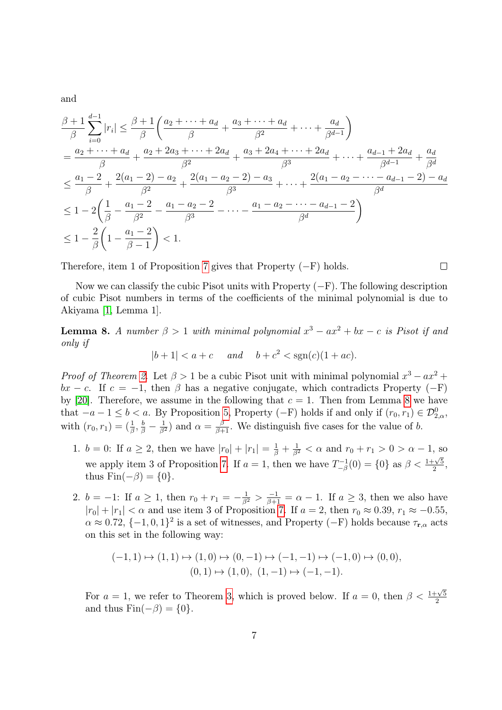and

$$
\frac{\beta+1}{\beta} \sum_{i=0}^{d-1} |r_i| \le \frac{\beta+1}{\beta} \left( \frac{a_2 + \dots + a_d}{\beta} + \frac{a_3 + \dots + a_d}{\beta^2} + \dots + \frac{a_d}{\beta^{d-1}} \right)
$$
  
\n
$$
= \frac{a_2 + \dots + a_d}{\beta} + \frac{a_2 + 2a_3 + \dots + 2a_d}{\beta^2} + \frac{a_3 + 2a_4 + \dots + 2a_d}{\beta^3} + \dots + \frac{a_{d-1} + 2a_d}{\beta^{d-1}} + \frac{a_d}{\beta^d}
$$
  
\n
$$
\le \frac{a_1 - 2}{\beta} + \frac{2(a_1 - 2) - a_2}{\beta^2} + \frac{2(a_1 - a_2 - 2) - a_3}{\beta^3} + \dots + \frac{2(a_1 - a_2 - \dots - a_{d-1} - 2) - a_d}{\beta^d}
$$
  
\n
$$
\le 1 - 2\left(\frac{1}{\beta} - \frac{a_1 - 2}{\beta^2} - \frac{a_1 - a_2 - 2}{\beta^3} - \dots - \frac{a_1 - a_2 - \dots - a_{d-1} - 2}{\beta^d}\right)
$$
  
\n
$$
\le 1 - \frac{2}{\beta} \left(1 - \frac{a_1 - 2}{\beta - 1}\right) < 1.
$$

Therefore, item 1 of Proposition [7](#page-4-0) gives that Property  $(-F)$  holds.

Now we can classify the cubic Pisot units with Property  $(-F)$ . The following description of cubic Pisot numbers in terms of the coefficients of the minimal polynomial is due to Akiyama [\[1,](#page-15-1) Lemma 1].

 $\Box$ 

<span id="page-6-0"></span>**Lemma 8.** A number  $\beta > 1$  with minimal polynomial  $x^3 - ax^2 + bx - c$  is Pisot if and only if

$$
|b+1| < a+c \quad \text{and} \quad b+c^2 < \text{sgn}(c)(1+ac).
$$

*Proof of Theorem [2.](#page-1-2)* Let  $\beta > 1$  be a cubic Pisot unit with minimal polynomial  $x^3 - ax^2 +$  $bx - c$ . If  $c = -1$ , then  $\beta$  has a negative conjugate, which contradicts Property (-F) by [\[20\]](#page-16-4). Therefore, we assume in the following that  $c = 1$ . Then from Lemma [8](#page-6-0) we have that  $-a-1 \leq b < a$ . By Proposition [5,](#page-3-0) Property (-F) holds if and only if  $(r_0, r_1) \in \mathcal{D}_{2,\alpha}^0$ , with  $(r_0, r_1) = (\frac{1}{\beta}, \frac{b}{\beta} - \frac{1}{\beta^2})$  and  $\alpha = \frac{\beta}{\beta+1}$ . We distinguish five cases for the value of b.

- 1.  $b = 0$ : If  $a \ge 2$ , then we have  $|r_0| + |r_1| = \frac{1}{\beta} + \frac{1}{\beta^2} < \alpha$  and  $r_0 + r_1 > 0 > \alpha 1$ , so we apply item 3 of Proposition [7.](#page-4-0) If  $a = 1$ , then we have  $T_{-\beta}^{-1}$  $\int_{-\beta}^{-1}(0) = \{0\}$  as  $\beta < \frac{1+\sqrt{5}}{2}$  $\frac{-\sqrt{5}}{2}$ thus  $\text{Fin}(-\beta) = \{0\}.$
- 2.  $b = -1$ : If  $a \ge 1$ , then  $r_0 + r_1 = -\frac{1}{\beta^2} > \frac{-1}{\beta+1} = \alpha 1$ . If  $a \ge 3$ , then we also have  $|r_0| + |r_1| < \alpha$  and use item 3 of Proposition [7.](#page-4-0) If  $a = 2$ , then  $r_0 \approx 0.39$ ,  $r_1 \approx -0.55$ ,  $\alpha \approx 0.72$ ,  $\{-1,0,1\}^2$  is a set of witnesses, and Property  $(-F)$  holds because  $\tau_{r,\alpha}$  acts on this set in the following way:

$$
(-1,1) \mapsto (1,1) \mapsto (1,0) \mapsto (0,-1) \mapsto (-1,-1) \mapsto (-1,0) \mapsto (0,0),
$$
  

$$
(0,1) \mapsto (1,0), (1,-1) \mapsto (-1,-1).
$$

For  $a = 1$ , we refer to Theorem [3,](#page-1-3) which is proved below. If  $a = 0$ , then  $\beta < \frac{1+\sqrt{5}}{2}$ 2 and thus  $\text{Fin}(-\beta) = \{0\}.$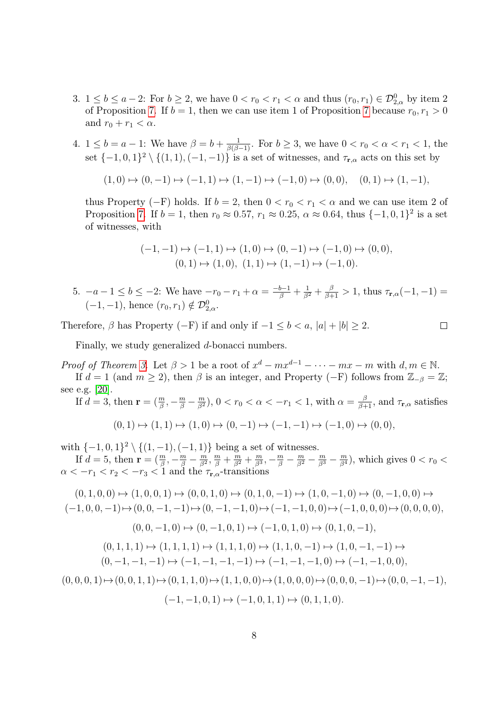- 3.  $1 \leq b \leq a-2$ : For  $b \geq 2$ , we have  $0 < r_0 < r_1 < \alpha$  and thus  $(r_0, r_1) \in \mathcal{D}_{2,\alpha}^0$  by item 2 of Proposition [7.](#page-4-0) If  $b = 1$ , then we can use item 1 of Proposition [7](#page-4-0) because  $r_0, r_1 > 0$ and  $r_0 + r_1 < \alpha$ .
- 4.  $1 \leq b = a 1$ : We have  $\beta = b + \frac{1}{\beta(\beta 1)}$ . For  $b \geq 3$ , we have  $0 < r_0 < \alpha < r_1 < 1$ , the set  $\{-1,0,1\}^2 \setminus \{(1,1),(-1,-1)\}$  is a set of witnesses, and  $\tau_{\mathbf{r},\alpha}$  acts on this set by

$$
(1,0) \mapsto (0,-1) \mapsto (-1,1) \mapsto (1,-1) \mapsto (-1,0) \mapsto (0,0), \quad (0,1) \mapsto (1,-1),
$$

thus Property (−F) holds. If  $b = 2$ , then  $0 < r_0 < r_1 < \alpha$  and we can use item 2 of Proposition [7.](#page-4-0) If  $b = 1$ , then  $r_0 \approx 0.57$ ,  $r_1 \approx 0.25$ ,  $\alpha \approx 0.64$ , thus  $\{-1, 0, 1\}^2$  is a set of witnesses, with

$$
(-1,-1) \mapsto (-1,1) \mapsto (1,0) \mapsto (0,-1) \mapsto (-1,0) \mapsto (0,0),
$$
  

$$
(0,1) \mapsto (1,0), (1,1) \mapsto (1,-1) \mapsto (-1,0).
$$

5.  $-a-1 \le b \le -2$ : We have  $-r_0-r_1+\alpha = \frac{-b-1}{\beta} + \frac{1}{\beta^2} + \frac{\beta}{\beta+1} > 1$ , thus  $\tau_{\mathbf{r},\alpha}(-1,-1) =$  $(-1, -1)$ , hence  $(r_0, r_1) \notin \mathcal{D}_{2,\alpha}^0$ .

 $\Box$ 

Therefore,  $\beta$  has Property (-F) if and only if  $-1 \leq b < a$ ,  $|a| + |b| \geq 2$ .

Finally, we study generalized d-bonacci numbers.

*Proof of Theorem [3.](#page-1-3)* Let  $\beta > 1$  be a root of  $x^d - mx^{d-1} - \cdots - mx - m$  with  $d, m \in \mathbb{N}$ .

If  $d = 1$  (and  $m \ge 2$ ), then  $\beta$  is an integer, and Property (-F) follows from  $\mathbb{Z}_{-\beta} = \mathbb{Z}$ ; see e.g. [\[20\]](#page-16-4).

If  $d = 3$ , then  $\mathbf{r} = (\frac{m}{\beta}, -\frac{m}{\beta} - \frac{m}{\beta^2})$ ,  $0 < r_0 < \alpha < -r_1 < 1$ , with  $\alpha = \frac{\beta}{\beta+1}$ , and  $\tau_{\mathbf{r},\alpha}$  satisfies  $(0, 1) \mapsto (1, 1) \mapsto (1, 0) \mapsto (0, -1) \mapsto (-1, -1) \mapsto (-1, 0) \mapsto (0, 0),$ 

with  $\{-1,0,1\}^2$  \{(1,-1), (-1, 1)} being a set of witnesses.

If  $d = 5$ , then  $\mathbf{r} = (\frac{m}{\beta}, -\frac{m}{\beta} - \frac{m}{\beta^2})$  $\frac{m}{\beta^2}, \frac{m}{\beta} + \frac{m}{\beta^2} + \frac{m}{\beta^3}$  $\frac{m}{\beta^3}, -\frac{m}{\beta} - \frac{m}{\beta^2} - \frac{m}{\beta^3} - \frac{m}{\beta^4}$ , which gives  $0 < r_0 <$  $\alpha < -r_1 < r_2 < -r_3 < 1$  and the  $\tau_{\mathbf{r},\alpha}$ -transitions

$$
(0,1,0,0) \mapsto (1,0,0,1) \mapsto (0,0,1,0) \mapsto (0,1,0,-1) \mapsto (1,0,-1,0) \mapsto (0,-1,0,0) \mapsto
$$

$$
(-1,0,0,-1) \mapsto (0,0,-1,-1) \mapsto (0,-1,-1,0) \mapsto (-1,-1,0,0) \mapsto (-1,0,0,0) \mapsto (0,0,0,0),
$$

$$
(0,0,-1,0) \mapsto (0,-1,0,1) \mapsto (-1,0,1,0) \mapsto (0,1,0,-1),
$$

$$
(0,1,1,1) \mapsto (1,1,1,1) \mapsto (1,1,1,0) \mapsto (1,1,0,-1) \mapsto (1,0,-1,-1) \mapsto
$$

$$
(0,-1,-1,-1) \mapsto (-1,-1,-1,-1) \mapsto (-1,-1,-1,0) \mapsto (-1,-1,0,0),
$$

$$
(0,0,0,1) \mapsto (0,0,1,1) \mapsto (0,1,1,0) \mapsto (1,1,0,0) \mapsto (1,0,0,0) \mapsto (0,0,0,-1) \mapsto (0,0,-1,-1),
$$

$$
(-1,-1,0,1) \mapsto (-1,0,1,1) \mapsto (0,1,1,0).
$$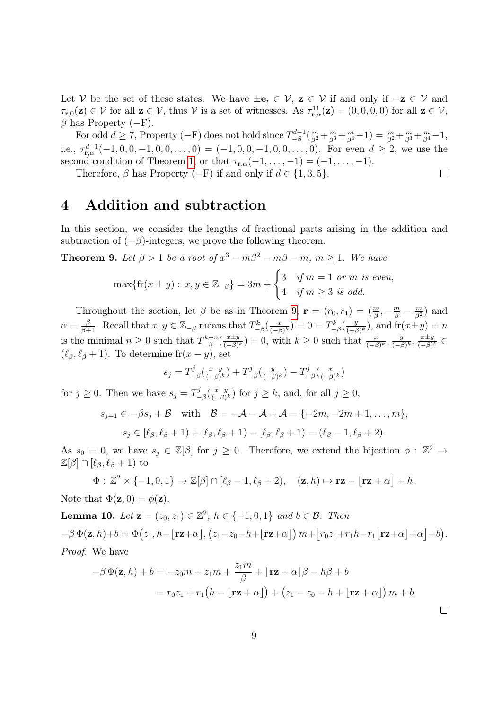Let V be the set of these states. We have  $\pm e_i \in V$ ,  $z \in V$  if and only if  $-z \in V$  and  $\tau_{\mathbf{r},0}(\mathbf{z}) \in \mathcal{V}$  for all  $\mathbf{z} \in \mathcal{V}$ , thus  $\mathcal{V}$  is a set of witnesses. As  $\tau_{\mathbf{r},\alpha}^{11}(\mathbf{z}) = (0,0,0,0)$  for all  $\mathbf{z} \in \mathcal{V}$ ,  $\beta$  has Property (−F).

For odd  $d \geq 7$ , Property (-F) does not hold since  $T_{-\beta}^{d-1}$  $\frac{d-1}{\beta}(\frac{m}{\beta^2}+\frac{m}{\beta^3}+\frac{m}{\beta^4}-1)=\frac{m}{\beta^2}+\frac{m}{\beta^3}+\frac{m}{\beta^4}-1,$ i.e.,  $\tau_{\mathbf{r},\alpha}^{d-1}(-1,0,0,-1,0,0,\ldots,0) = (-1,0,0,-1,0,0,\ldots,0)$ . For even  $d \geq 2$ , we use the second condition of Theorem [1,](#page-1-0) or that  $\tau_{\mathbf{r},\alpha}(-1,\ldots,-1) = (-1,\ldots,-1).$  $\Box$ 

Therefore,  $\beta$  has Property (−F) if and only if  $d \in \{1, 3, 5\}$ .

### <span id="page-8-0"></span>4 Addition and subtraction

In this section, we consider the lengths of fractional parts arising in the addition and subtraction of  $(-\beta)$ -integers; we prove the following theorem.

<span id="page-8-1"></span>**Theorem 9.** Let  $\beta > 1$  be a root of  $x^3 - m\beta^2 - m\beta - m$ ,  $m \ge 1$ . We have

$$
\max\{\text{fr}(x \pm y) : x, y \in \mathbb{Z}_{-\beta}\} = 3m + \begin{cases} 3 & \text{if } m = 1 \text{ or } m \text{ is even,} \\ 4 & \text{if } m \ge 3 \text{ is odd.} \end{cases}
$$

Throughout the section, let  $\beta$  be as in Theorem [9,](#page-8-1)  $\mathbf{r} = (r_0, r_1) = (\frac{m}{\beta}, -\frac{m}{\beta} - \frac{m}{\beta^2})$  and  $\alpha = \frac{\beta}{\beta+1}$ . Recall that  $x, y \in \mathbb{Z}_{-\beta}$  means that  $T_{-\beta}^k(\frac{x}{(-\beta+1)}$  $(\frac{x}{(-\beta)^k}) = 0 = T_{-\beta}^k(\frac{y}{(-\beta)^k})$  $\frac{y}{(-\beta)^k}$ , and  $\operatorname{fr}(x \pm y) = n$ is the minimal  $n \geq 0$  such that  $T_{-\beta}^{k+n}$  $\frac{-k+n}{-\beta}(\frac{x\pm y}{(-\beta)})$  $(\frac{x\pm y}{(-\beta)^k})=0$ , with  $k\geq 0$  such that  $\frac{x}{(-\beta)^k}, \frac{y}{(-\beta)^k}$  $\frac{y}{(-\beta)^k}, \frac{x \pm y}{(-\beta)}$  $\frac{x\pm y}{(-\beta)^k}\in$  $(\ell_\beta, \ell_\beta + 1)$ . To determine fr $(x - y)$ , set

$$
s_j = T^j_{-\beta}\left(\frac{x-y}{(-\beta)^k}\right) + T^j_{-\beta}\left(\frac{y}{(-\beta)^k}\right) - T^j_{-\beta}\left(\frac{x}{(-\beta)^k}\right)
$$

for  $j \geq 0$ . Then we have  $s_j = T^j$  $\frac{y^j}{-\beta}(\frac{x-y}{(-\beta)})$  $\frac{x-y}{(-\beta)^k}$  for  $j \geq k$ , and, for all  $j \geq 0$ ,

$$
s_{j+1} \in -\beta s_j + \mathcal{B} \quad \text{with} \quad \mathcal{B} = -\mathcal{A} - \mathcal{A} + \mathcal{A} = \{-2m, -2m + 1, \dots, m\},
$$

$$
s_j \in [\ell_\beta, \ell_\beta + 1) + [\ell_\beta, \ell_\beta + 1] - [\ell_\beta, \ell_\beta + 1] = (\ell_\beta - 1, \ell_\beta + 2).
$$

As  $s_0 = 0$ , we have  $s_j \in \mathbb{Z}[\beta]$  for  $j \geq 0$ . Therefore, we extend the bijection  $\phi : \mathbb{Z}^2 \to$ 

$$
\mathbb{Z}[\beta] \cap [\ell_{\beta}, \ell_{\beta} + 1)
$$
 to

$$
\Phi: \mathbb{Z}^2 \times \{-1, 0, 1\} \to \mathbb{Z}[\beta] \cap [\ell_\beta - 1, \ell_\beta + 2), \quad (\mathbf{z}, h) \mapsto \mathbf{r}\mathbf{z} - \lfloor \mathbf{r}\mathbf{z} + \alpha \rfloor + h.
$$

Note that  $\Phi(\mathbf{z},0) = \phi(\mathbf{z}).$ 

**Lemma 10.** Let  $z = (z_0, z_1) \in \mathbb{Z}^2$ ,  $h \in \{-1, 0, 1\}$  and  $b \in \mathcal{B}$ . Then  $-\beta \Phi(\mathbf{z},h)+b = \Phi(z_1,h-\lfloor \mathbf{rz}+\alpha \rfloor, (z_1-z_0-h+\lfloor \mathbf{rz}+\alpha \rfloor) m+\lfloor r_0z_1+r_1h-r_1\lfloor \mathbf{rz}+\alpha \rfloor+a \rfloor+b).$ Proof. We have

$$
-\beta \Phi(\mathbf{z}, h) + b = -z_0 m + z_1 m + \frac{z_1 m}{\beta} + \lfloor \mathbf{r} \mathbf{z} + \alpha \rfloor \beta - h\beta + b
$$
  
=  $r_0 z_1 + r_1 (h - \lfloor \mathbf{r} \mathbf{z} + \alpha \rfloor) + (z_1 - z_0 - h + \lfloor \mathbf{r} \mathbf{z} + \alpha \rfloor) m + b.$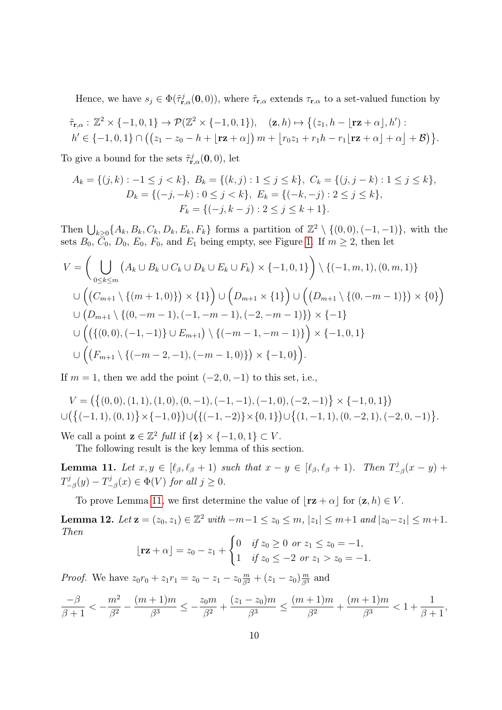Hence, we have  $s_j \in \Phi(\tilde{\tau}_{\mathbf{r},\alpha}^j(\mathbf{0},0))$ , where  $\tilde{\tau}_{\mathbf{r},\alpha}$  extends  $\tau_{\mathbf{r},\alpha}$  to a set-valued function by

$$
\tilde{\tau}_{\mathbf{r},\alpha}: \mathbb{Z}^2 \times \{-1,0,1\} \to \mathcal{P}(\mathbb{Z}^2 \times \{-1,0,1\}), \quad (\mathbf{z},h) \mapsto \left\{ (z_1,h-\lfloor \mathbf{r} \mathbf{z}+\alpha \rfloor,h') : h' \in \{-1,0,1\} \cap \left( (z_1-z_0-h+\lfloor \mathbf{r} \mathbf{z}+\alpha \rfloor) m+\lfloor r_0 z_1+r_1 h-r_1 \lfloor \mathbf{r} \mathbf{z}+\alpha \rfloor+\alpha \rfloor+\mathcal{B} \right) \right\}.
$$

To give a bound for the sets  $\tilde{\tau}^j_{\mathbf{r},\alpha}(\mathbf{0},0)$ , let

$$
A_k = \{(j, k) : -1 \le j < k\}, \ B_k = \{(k, j) : 1 \le j \le k\}, \ C_k = \{(j, j - k) : 1 \le j \le k\},
$$
\n
$$
D_k = \{(-j, -k) : 0 \le j < k\}, \ E_k = \{(-k, -j) : 2 \le j \le k\},
$$
\n
$$
F_k = \{(-j, k - j) : 2 \le j \le k + 1\}.
$$

Then  $\bigcup_{k\geq 0} \{A_k, B_k, C_k, D_k, E_k, F_k\}$  forms a partition of  $\mathbb{Z}^2 \setminus \{(0,0), (-1,-1)\},$  with the sets  $B_0$ ,  $\overline{C}_0$ ,  $D_0$ ,  $E_0$ ,  $F_0$ , and  $E_1$  being empty, see Figure [1.](#page-10-0) If  $m \geq 2$ , then let

$$
V = \left( \bigcup_{0 \le k \le m} \left( A_k \cup B_k \cup C_k \cup D_k \cup E_k \cup F_k \right) \times \{-1, 0, 1\} \right) \setminus \{(-1, m, 1), (0, m, 1)\}
$$
  

$$
\cup \left( \left( C_{m+1} \setminus \{(m+1, 0)\} \right) \times \{1\} \right) \cup \left( D_{m+1} \times \{1\} \right) \cup \left( \left( D_{m+1} \setminus \{(0, -m-1)\} \right) \times \{0\} \right)
$$
  

$$
\cup \left( D_{m+1} \setminus \{(0, -m-1), (-1, -m-1), (-2, -m-1)\} \right) \times \{-1\}
$$
  

$$
\cup \left( \left( \{(0, 0), (-1, -1)\} \cup E_{m+1} \right) \setminus \{(-m-1, -m-1)\} \right) \times \{-1, 0, 1\}
$$
  

$$
\cup \left( \left( F_{m+1} \setminus \{(-m-2, -1), (-m-1, 0)\} \right) \times \{-1, 0\} \right).
$$

If  $m = 1$ , then we add the point  $(-2, 0, -1)$  to this set, i.e.,

$$
V = \left( \{(0,0), (1,1), (1,0), (0,-1), (-1,-1), (-1,0), (-2,-1) \} \times \{-1,0,1 \} \right)
$$
  

$$
\cup \left( \{ (-1,1), (0,1) \} \times \{-1,0 \} \right) \cup \left( \{ (-1,-2) \} \times \{0,1 \} \right) \cup \{ (1,-1,1), (0,-2,1), (-2,0,-1) \}.
$$

We call a point  $\mathbf{z} \in \mathbb{Z}^2$  full if  $\{\mathbf{z}\} \times \{-1, 0, 1\} \subset V$ .

The following result is the key lemma of this section.

<span id="page-9-0"></span>**Lemma 11.** Let  $x, y \in [\ell_\beta, \ell_\beta + 1]$  such that  $x - y \in [\ell_\beta, \ell_\beta + 1]$ . Then  $T^j$  $\frac{y}{-\beta}(x-y) +$  $T^j_ \frac{\gamma j}{-\beta}(y)-T_{-}^{j}$  $\mathcal{L}^{\jmath}_{-\beta}(x) \in \Phi(V)$  for all  $j \geq 0$ .

To prove Lemma [11,](#page-9-0) we first determine the value of  $\lfloor \mathbf{rz} + \alpha \rfloor$  for  $(\mathbf{z}, h) \in V$ .

<span id="page-9-1"></span>**Lemma 12.** Let  $z = (z_0, z_1) \in \mathbb{Z}^2$  with  $-m-1 \le z_0 \le m$ ,  $|z_1| \le m+1$  and  $|z_0 - z_1| \le m+1$ . Then

$$
[\mathbf{rz} + \alpha] = z_0 - z_1 + \begin{cases} 0 & \text{if } z_0 \ge 0 \text{ or } z_1 \le z_0 = -1, \\ 1 & \text{if } z_0 \le -2 \text{ or } z_1 > z_0 = -1. \end{cases}
$$

*Proof.* We have  $z_0r_0 + z_1r_1 = z_0 - z_1 - z_0\frac{m}{\beta^2} + (z_1 - z_0)\frac{m}{\beta^3}$  and

$$
\frac{-\beta}{\beta+1} < -\frac{m^2}{\beta^2} - \frac{(m+1)m}{\beta^3} \le -\frac{z_0m}{\beta^2} + \frac{(z_1 - z_0)m}{\beta^3} \le \frac{(m+1)m}{\beta^2} + \frac{(m+1)m}{\beta^3} < 1 + \frac{1}{\beta+1},
$$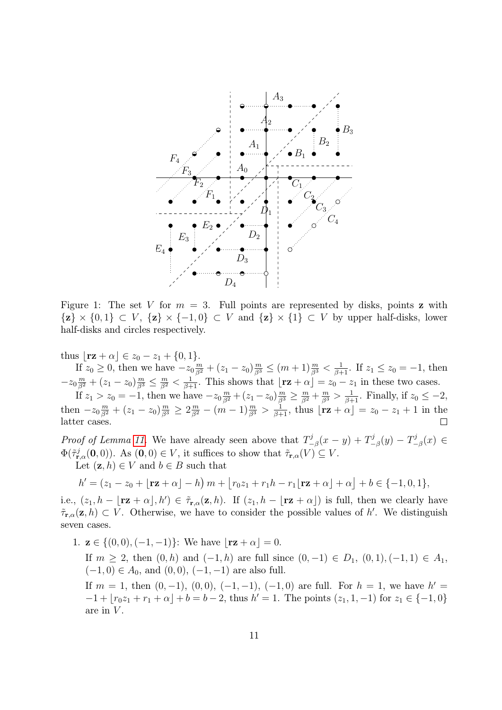

<span id="page-10-0"></span>Figure 1: The set V for  $m = 3$ . Full points are represented by disks, points z with  $\{z\} \times \{0,1\} \subset V$ ,  $\{z\} \times \{-1,0\} \subset V$  and  $\{z\} \times \{1\} \subset V$  by upper half-disks, lower half-disks and circles respectively.

thus  $\lfloor r\mathbf{z} + \alpha \rfloor \in z_0 - z_1 + \{0, 1\}.$ 

If  $z_0 \ge 0$ , then we have  $-z_0 \frac{m}{\beta^2} + (z_1 - z_0) \frac{m}{\beta^3} \le (m+1) \frac{m}{\beta^3} < \frac{1}{\beta+1}$ . If  $z_1 \le z_0 = -1$ , then  $-z_0 \frac{m}{\beta^2} + (z_1 - z_0) \frac{m}{\beta^3} \le \frac{m}{\beta^2} < \frac{1}{\beta+1}$ . This shows that  $\lfloor \mathbf{rz} + \alpha \rfloor = z_0 - z_1$  in these two cases.

If  $z_1 > z_0 = -1$ , then we have  $-z_0 \frac{m}{\beta^2} + (z_1 - z_0) \frac{m}{\beta^3} \ge \frac{m}{\beta^2} + \frac{m}{\beta^3} > \frac{1}{\beta+1}$ . Finally, if  $z_0 \le -2$ , then  $-z_0 \frac{m}{\beta^2} + (z_1 - z_0) \frac{m}{\beta^3} \geq 2 \frac{m}{\beta^2} - (m-1) \frac{m}{\beta^3} > \frac{1}{\beta+1}$ , thus  $\lfloor r\mathbf{z} + \alpha \rfloor = z_0 - z_1 + 1$  in the latter cases.  $\Box$ 

*Proof of Lemma [11.](#page-9-0)* We have already seen above that  $T^j$  $\frac{\gamma j}{-\beta}(x-y)+T_{-}^{j}$  $T_{-\beta}^j(y)-T_{-}^j$  $\frac{y}{-\beta}(x) \in$  $\Phi(\tilde{\tau}_{\mathbf{r},\alpha}^j(\mathbf{0},0))$ . As  $(\mathbf{0},0) \in V$ , it suffices to show that  $\tilde{\tau}_{\mathbf{r},\alpha}(V) \subseteq V$ .

Let  $(z, h) \in V$  and  $b \in B$  such that

$$
h' = (z_1 - z_0 + \lfloor \mathbf{rz} + \alpha \rfloor - h) m + \lfloor r_0 z_1 + r_1 h - r_1 \lfloor \mathbf{rz} + \alpha \rfloor + o \rfloor + b \in \{-1, 0, 1\},\
$$

i.e.,  $(z_1, h - \mathbf{r}z + \alpha, h') \in \tilde{\tau}_{\mathbf{r},\alpha}(\mathbf{z},h)$ . If  $(z_1, h - \mathbf{r}z + \alpha)$  is full, then we clearly have  $\tilde{\tau}_{\mathbf{r},\alpha}(\mathbf{z},h) \subset V$ . Otherwise, we have to consider the possible values of h'. We distinguish seven cases.

1.  $z \in \{(0,0), (-1,-1)\}$ : We have  $|\mathbf{rz} + \alpha| = 0$ .

If  $m \ge 2$ , then  $(0, h)$  and  $(-1, h)$  are full since  $(0, -1) \in D_1$ ,  $(0, 1)$ ,  $(-1, 1) \in A_1$ ,  $(-1, 0) \in A_0$ , and  $(0, 0)$ ,  $(-1, -1)$  are also full.

If  $m = 1$ , then  $(0, -1)$ ,  $(0, 0)$ ,  $(-1, -1)$ ,  $(-1, 0)$  are full. For  $h = 1$ , we have  $h' =$  $-1 + [r_0z_1 + r_1 + \alpha] + b = b - 2$ , thus  $h' = 1$ . The points  $(z_1, 1, -1)$  for  $z_1 \in \{-1, 0\}$ are in  $V$ .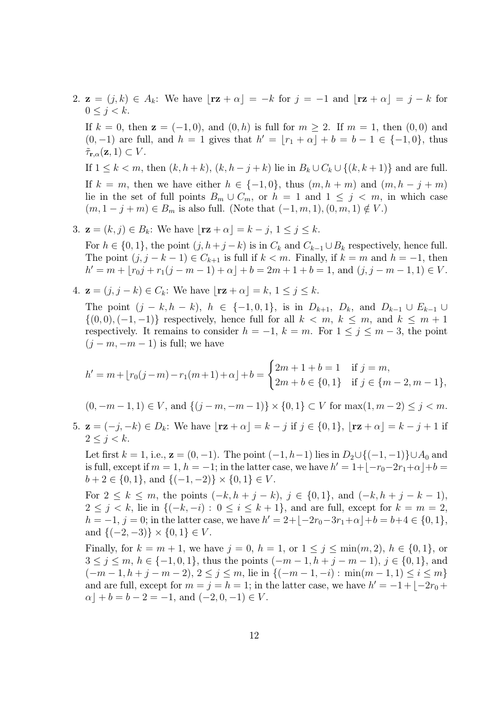2.  $\mathbf{z} = (j, k) \in A_k$ : We have  $|\mathbf{rz} + \alpha| = -k$  for  $j = -1$  and  $|\mathbf{rz} + \alpha| = j - k$  for  $0 \leq j \leq k$ .

If  $k = 0$ , then  $z = (-1, 0)$ , and  $(0, h)$  is full for  $m \ge 2$ . If  $m = 1$ , then  $(0, 0)$  and  $(0, -1)$  are full, and  $h = 1$  gives that  $h' = \lfloor r_1 + \alpha \rfloor + b = b - 1 \in \{-1, 0\}$ , thus  $\tilde{\tau}_{\mathbf{r},\alpha}(\mathbf{z},1) \subset V$ .

If  $1 \leq k < m$ , then  $(k, h+k)$ ,  $(k, h-j+k)$  lie in  $B_k \cup C_k \cup \{(k, k+1)\}\$  and are full. If  $k = m$ , then we have either  $h \in \{-1, 0\}$ , thus  $(m, h + m)$  and  $(m, h - j + m)$ lie in the set of full points  $B_m \cup C_m$ , or  $h = 1$  and  $1 \leq j \leq m$ , in which case  $(m, 1 - j + m) \in B_m$  is also full. (Note that  $(-1, m, 1), (0, m, 1) \notin V$ .)

3.  $\mathbf{z} = (k, j) \in B_k$ : We have  $|\mathbf{rz} + \alpha| = k - j, 1 \le j \le k$ .

For  $h \in \{0, 1\}$ , the point  $(j, h + j - k)$  is in  $C_k$  and  $C_{k-1} \cup B_k$  respectively, hence full. The point  $(j, j - k - 1) \in C_{k+1}$  is full if  $k < m$ . Finally, if  $k = m$  and  $h = -1$ , then  $h' = m + \lfloor r_0 j + r_1(j - m - 1) + \alpha \rfloor + b = 2m + 1 + b = 1$ , and  $(j, j - m - 1, 1) \in V$ .

4. 
$$
\mathbf{z} = (j, j - k) \in C_k
$$
: We have  $[\mathbf{rz} + \alpha] = k, 1 \le j \le k$ .

The point  $(j - k, h - k)$ ,  $h \in \{-1, 0, 1\}$ , is in  $D_{k+1}$ ,  $D_k$ , and  $D_{k-1} \cup E_{k-1} \cup$  $\{(0,0),(-1,-1)\}\;$  respectively, hence full for all  $k < m, k \leq m,$  and  $k \leq m+1$ respectively. It remains to consider  $h = -1$ ,  $k = m$ . For  $1 \le j \le m - 3$ , the point  $(j - m, -m - 1)$  is full; we have

$$
h' = m + \lfloor r_0(j-m) - r_1(m+1) + \alpha \rfloor + b = \begin{cases} 2m+1+b=1 & \text{if } j=m, \\ 2m+b \in \{0,1\} & \text{if } j \in \{m-2, m-1\}, \end{cases}
$$

$$
(0, -m-1, 1) \in V
$$
, and  $\{(j-m, -m-1)\} \times \{0, 1\} \subset V$  for  $\max(1, m-2) \le j < m$ .

5.  $\mathbf{z} = (-j, -k) \in D_k$ : We have  $|\mathbf{rz} + \alpha| = k - j$  if  $j \in \{0, 1\}$ ,  $|\mathbf{rz} + \alpha| = k - j + 1$  if  $2 \leq i \leq k$ .

Let first  $k = 1$ , i.e.,  $\mathbf{z} = (0, -1)$ . The point  $(-1, h-1)$  lies in  $D_2 \cup \{(-1, -1)\} \cup A_0$  and is full, except if  $m = 1$ ,  $h = -1$ ; in the latter case, we have  $h' = 1 + \lfloor -r_0 - 2r_1 + \alpha \rfloor + b =$  $b+2 \in \{0,1\}$ , and  $\{(-1,-2)\}\times\{0,1\} \in V$ .

For  $2 \le k \le m$ , the points  $(-k, h + j - k)$ ,  $j \in \{0, 1\}$ , and  $(-k, h + j - k - 1)$ ,  $2 \leq j \leq k$ , lie in  $\{(-k, -i): 0 \leq i \leq k+1\}$ , and are full, except for  $k = m = 2$ ,  $h = -1, j = 0$ ; in the latter case, we have  $h' = 2 + [-2r_0 - 3r_1 + \alpha] + b = b + 4 \in \{0, 1\},\$ and  $\{(-2, -3)\}\times\{0, 1\} \in V$ .

Finally, for  $k = m + 1$ , we have  $j = 0$ ,  $h = 1$ , or  $1 \le j \le \min(m, 2)$ ,  $h \in \{0, 1\}$ , or  $3 \leq j \leq m, h \in \{-1, 0, 1\}$ , thus the points  $(-m-1, h+j-m-1), j \in \{0, 1\}$ , and  $(-m-1, h+j-m-2), 2 \leq j \leq m$ , lie in  $\{(-m-1, -i) : \min(m-1, 1) \leq i \leq m\}$ and are full, except for  $m = j = h = 1$ ; in the latter case, we have  $h' = -1 + \lfloor -2r_0 +$  $\alpha \mid +b=b-2=-1$ , and  $(-2,0,-1) \in V$ .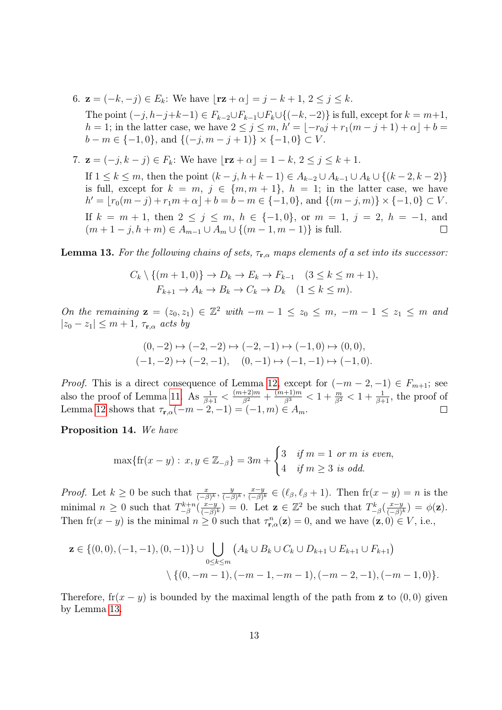6.  $z = (-k, -j) \in E_k$ : We have  $|\mathbf{rz} + \alpha| = j - k + 1, 2 \le j \le k$ .

The point  $(-j, h-j+k-1) \in F_{k-2} \cup F_{k-1} \cup F_k \cup \{(-k, -2)\}\$ is full, except for  $k = m+1$ ,  $h = 1$ ; in the latter case, we have  $2 \le j \le m$ ,  $h' = \lfloor -r_{0}j + r_{1}(m - j + 1) + \alpha \rfloor + b =$  $b - m \in \{-1, 0\}$ , and  $\{(-j, m - j + 1)\} \times \{-1, 0\} \subset V$ .

7. **z** = 
$$
(-j, k - j) \in F_k
$$
: We have  $[\mathbf{rz} + \alpha] = 1 - k, 2 \le j \le k + 1$ .

If  $1 \le k \le m$ , then the point  $(k - j, h + k - 1) \in A_{k-2} \cup A_{k-1} \cup A_k \cup \{(k - 2, k - 2)\}\$ is full, except for  $k = m, j \in \{m, m + 1\}, h = 1$ ; in the latter case, we have  $h' = \lfloor r_0(m - j) + r_1m + \alpha \rfloor + b = b - m \in \{-1, 0\}$ , and  $\{(m - j, m)\} \times \{-1, 0\} \subset V$ . If  $k = m + 1$ , then  $2 \le j \le m$ ,  $h \in \{-1, 0\}$ , or  $m = 1$ ,  $j = 2$ ,  $h = -1$ , and  $(m+1-j, h+m) \in A_{m-1} \cup A_m \cup \{(m-1, m-1)\}\$ is full.  $\Box$ 

<span id="page-12-0"></span>**Lemma 13.** For the following chains of sets,  $\tau_{\mathbf{r},\alpha}$  maps elements of a set into its successor:

$$
C_k \setminus \{(m+1,0)\} \to D_k \to E_k \to F_{k-1} \quad (3 \le k \le m+1),
$$
  

$$
F_{k+1} \to A_k \to B_k \to C_k \to D_k \quad (1 \le k \le m).
$$

On the remaining  $\mathbf{z} = (z_0, z_1) \in \mathbb{Z}^2$  with  $-m-1 \leq z_0 \leq m$ ,  $-m-1 \leq z_1 \leq m$  and  $|z_0 - z_1| \leq m + 1$ ,  $\tau_{\mathbf{r},\alpha}$  acts by

$$
(0,-2) \mapsto (-2,-2) \mapsto (-2,-1) \mapsto (-1,0) \mapsto (0,0),
$$
  

$$
(-1,-2) \mapsto (-2,-1), \quad (0,-1) \mapsto (-1,-1) \mapsto (-1,0).
$$

*Proof.* This is a direct consequence of Lemma [12,](#page-9-1) except for  $(-m-2,-1) \in F_{m+1}$ ; see also the proof of Lemma [11.](#page-9-0) As  $\frac{1}{\beta+1} < \frac{(m+2)m}{\beta^2} + \frac{(m+1)m}{\beta^3} < 1 + \frac{m}{\beta^2} < 1 + \frac{1}{\beta+1}$ , the proof of Lemma [12](#page-9-1) shows that  $\tau_{\mathbf{r},\alpha}(-m-2,-1) = (-1,m) \in A_m$ .  $\Box$ 

<span id="page-12-1"></span>Proposition 14. We have

$$
\max\{\text{fr}(x-y): x, y \in \mathbb{Z}_{-\beta}\} = 3m + \begin{cases} 3 & \text{if } m = 1 \text{ or } m \text{ is even,} \\ 4 & \text{if } m \ge 3 \text{ is odd.} \end{cases}
$$

*Proof.* Let  $k \geq 0$  be such that  $\frac{x}{(-\beta)^k}$ ,  $\frac{y}{(-\beta)^k}$  $\frac{y}{(-\beta)^k}, \frac{x-y}{(-\beta)}$  $\frac{x-y}{(-\beta)^k} \in (\ell_\beta, \ell_\beta + 1)$ . Then  $\operatorname{fr}(x - y) = n$  is the minimal  $n \geq 0$  such that  $T_{-8}^{k+n}$  $\frac{-k+n}{-\beta}(\frac{x-y}{(-\beta)})$  $(\frac{x-y}{(-\beta)^k}) = 0$ . Let  $\mathbf{z} \in \mathbb{Z}^2$  be such that  $T_{-\beta}^k(\frac{x-y}{(-\beta)})$  $\frac{x-y}{(-\beta)^k}$ ) =  $\phi(\mathbf{z})$ . Then  $\text{fr}(x - y)$  is the minimal  $n \geq 0$  such that  $\tau_{\mathbf{r},\alpha}^n(\mathbf{z}) = 0$ , and we have  $(\mathbf{z},0) \in V$ , i.e.,

$$
\mathbf{z} \in \{(0,0), (-1,-1), (0,-1)\} \cup \bigcup_{0 \le k \le m} (A_k \cup B_k \cup C_k \cup D_{k+1} \cup E_{k+1} \cup F_{k+1})
$$

$$
\setminus \{(0, -m-1), (-m-1, -m-1), (-m-2, -1), (-m-1, 0)\}.
$$

Therefore,  $f(x - y)$  is bounded by the maximal length of the path from z to  $(0, 0)$  given by Lemma [13.](#page-12-0)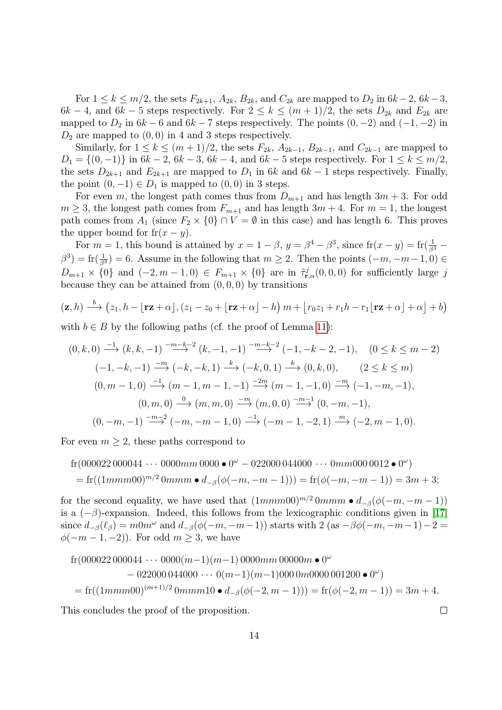For  $1 \leq k \leq m/2$ , the sets  $F_{2k+1}$ ,  $A_{2k}$ ,  $B_{2k}$ , and  $C_{2k}$  are mapped to  $D_2$  in  $6k-2$ ,  $6k-3$ ,  $6k-4$ , and  $6k-5$  steps respectively. For  $2 \le k \le (m+1)/2$ , the sets  $D_{2k}$  and  $E_{2k}$  are mapped to  $D_2$  in  $6k - 6$  and  $6k - 7$  steps respectively. The points  $(0, -2)$  and  $(-1, -2)$  in  $D_2$  are mapped to  $(0, 0)$  in 4 and 3 steps respectively.

Similarly, for  $1 \leq k \leq (m+1)/2$ , the sets  $F_{2k}$ ,  $A_{2k-1}$ ,  $B_{2k-1}$ , and  $C_{2k-1}$  are mapped to  $D_1 = \{(0, -1)\}\$ in 6k − 2, 6k − 3, 6k − 4, and 6k − 5 steps respectively. For  $1 \leq k \leq m/2$ , the sets  $D_{2k+1}$  and  $E_{2k+1}$  are mapped to  $D_1$  in 6k and 6k – 1 steps respectively. Finally, the point  $(0, -1) \in D_1$  is mapped to  $(0, 0)$  in 3 steps.

For even m, the longest path comes thus from  $D_{m+1}$  and has length  $3m + 3$ . For odd  $m \geq 3$ , the longest path comes from  $F_{m+1}$  and has length  $3m+4$ . For  $m=1$ , the longest path comes from  $A_1$  (since  $F_2 \times \{0\} \cap V = \emptyset$  in this case) and has length 6. This proves the upper bound for  $f(x - y)$ .

For  $m = 1$ , this bound is attained by  $x = 1 - \beta$ ,  $y = \beta^4 - \beta^3$ , since  $\text{fr}(x - y) = \text{fr}(\frac{1}{\beta^3} - \beta^4)$  $\beta^3$ ) = fr $(\frac{1}{\beta^3})$  = 6. Assume in the following that  $m \geq 2$ . Then the points  $(-m, -m-1, 0) \in$  $D_{m+1} \times \{0\}$  and  $(-2, m-1, 0) \in F_{m+1} \times \{0\}$  are in  $\tilde{\tau}_{\mathbf{r},\alpha}^j(0,0,0)$  for sufficiently large j because they can be attained from  $(0, 0, 0)$  by transitions

$$
(\mathbf{z},h) \xrightarrow{b} (z_1,h-\lfloor \mathbf{r}\mathbf{z}+\alpha \rfloor,(z_1-z_0+\lfloor \mathbf{r}\mathbf{z}+\alpha \rfloor-h) m+\lfloor r_0z_1+r_1h-r_1\lfloor \mathbf{r}\mathbf{z}+\alpha \rfloor +\alpha \rfloor +b)
$$

with  $b \in B$  by the following paths (cf. the proof of Lemma [11\)](#page-9-0):

$$
(0, k, 0) \xrightarrow{-1} (k, k, -1) \xrightarrow{-m-k-2} (k, -1, -1) \xrightarrow{-m-k-2} (-1, -k-2, -1), \quad (0 \le k \le m-2)
$$
  

$$
(-1, -k, -1) \xrightarrow{-m} (-k, -k, 1) \xrightarrow{k} (-k, 0, 1) \xrightarrow{k} (0, k, 0), \quad (2 \le k \le m)
$$
  

$$
(0, m-1, 0) \xrightarrow{-1} (m-1, m-1, -1) \xrightarrow{-2m} (m-1, -1, 0) \xrightarrow{-m} (-1, -m, -1),
$$
  

$$
(0, m, 0) \xrightarrow{0} (m, m, 0) \xrightarrow{-m} (m, 0, 0) \xrightarrow{-m-1} (0, -m, -1),
$$
  

$$
(0, -m, -1) \xrightarrow{-m-2} (-m, -m-1, 0) \xrightarrow{-1} (-m-1, -2, 1) \xrightarrow{m} (-2, m-1, 0).
$$

For even  $m \geq 2$ , these paths correspond to

$$
fr(000022000044\cdots 0000mm\ 0000 \bullet 0^{\omega} - 022000\ 044000\cdots 0mm000\ 0012 \bullet 0^{\omega})
$$
  
= 
$$
fr((1mmm00)^{m/2} 0mmm \bullet d_{-\beta}(\phi(-m, -m-1))) = fr(\phi(-m, -m-1)) = 3m + 3;
$$

for the second equality, we have used that  $(1mmm00)^{m/2}$  0mmm •  $d_{-\beta}(\phi(-m, -m-1))$ is a  $(-\beta)$ -expansion. Indeed, this follows from the lexicographic conditions given in [\[17\]](#page-16-3) since  $d_{-\beta}(\ell_{\beta}) = m0m^{\omega}$  and  $d_{-\beta}(\phi(-m, -m-1))$  starts with 2 (as  $-\beta\phi(-m, -m-1)-2=$  $\phi(-m-1,-2)$ . For odd  $m \geq 3$ , we have

$$
fr(000022000044 \cdots 0000(m-1)(m-1)0000mm 00000m \bullet 0^{\omega}
$$
  
- 022000 044000 \cdots 0(m-1)(m-1)000 0m0000 001200 \bullet 0^{\omega})  
= fr((1mmm00)^{(m+1)/2} 0mmm10 \bullet d\_{-\beta}(\phi(-2, m-1))) = fr(\phi(-2, m-1)) = 3m + 4.

 $\Box$ 

This concludes the proof of the proposition.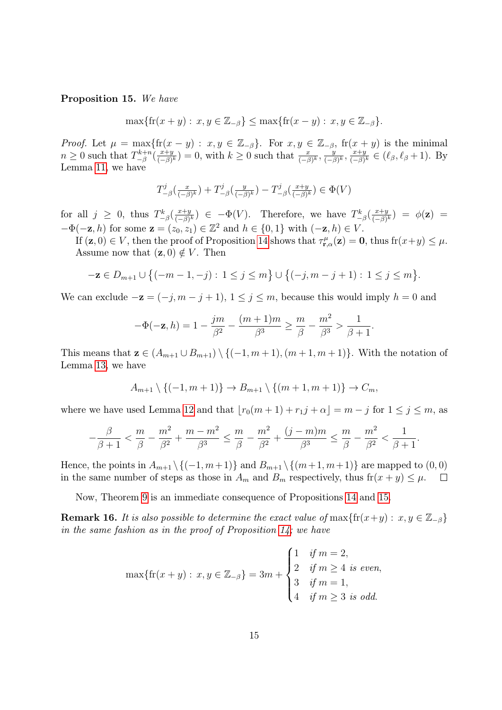#### <span id="page-14-0"></span>Proposition 15. We have

 $\max\{f(r(x+y): x, y \in \mathbb{Z}_{-\beta}\}\leq \max\{f(r(x-y): x, y \in \mathbb{Z}_{-\beta}\}.$ 

*Proof.* Let  $\mu = \max\{f(r(x - y) : x, y \in \mathbb{Z}_{-\beta}\}\)$ . For  $x, y \in \mathbb{Z}_{-\beta}$ ,  $f(r(x + y))$  is the minimal  $n \geq 0$  such that  $T_{-8}^{k+n}$  $\frac{-k+n}{-\beta}(\frac{x+y}{(-\beta)})$  $(\frac{x+y}{(-\beta)^k}) = 0$ , with  $k \geq 0$  such that  $\frac{x}{(-\beta)^k}$ ,  $\frac{y}{(-\beta)^k}$  $\frac{y}{(-\beta)^k}, \frac{x+y}{(-\beta)}$  $\frac{x+y}{(-\beta)^k} \in (\ell_\beta, \ell_\beta + 1)$ . By Lemma [11,](#page-9-0) we have

$$
T_{-\beta}^j(\tfrac{x}{(-\beta)^k}) + T_{-\beta}^j(\tfrac{y}{(-\beta)^k}) - T_{-\beta}^j(\tfrac{x+y}{(-\beta)^k}) \in \Phi(V)
$$

for all  $j \geq 0$ , thus  $T_{-\beta}^k(\frac{x+y}{(-\beta)})$  $(\frac{x+y}{(-\beta)^k}) \in -\Phi(V)$ . Therefore, we have  $T_{-\beta}^k(\frac{x+y}{(-\beta)^k})$  $\frac{x+y}{(-\beta)^k}$ ) =  $\phi(\mathbf{z})$  =  $-\Phi(-\mathbf{z}, h)$  for some  $\mathbf{z} = (z_0, z_1) \in \mathbb{Z}^2$  and  $h \in \{0, 1\}$  with  $(-\mathbf{z}, h) \in V$ .

If  $(z, 0) \in V$ , then the proof of Proposition [14](#page-12-1) shows that  $\tau_{\mathbf{r},\alpha}^{\mu}(z) = 0$ , thus  $\text{fr}(x+y) \leq \mu$ . Assume now that  $(z, 0) \notin V$ . Then

$$
-\mathbf{z}\in D_{m+1}\cup \big\{(-m-1,-j): 1\leq j\leq m\big\}\cup \big\{(-j,m-j+1): 1\leq j\leq m\big\}.
$$

We can exclude  $-\mathbf{z} = (-j, m - j + 1), 1 \le j \le m$ , because this would imply  $h = 0$  and

$$
-\Phi(-\mathbf{z},h) = 1 - \frac{jm}{\beta^2} - \frac{(m+1)m}{\beta^3} \ge \frac{m}{\beta} - \frac{m^2}{\beta^3} > \frac{1}{\beta+1}.
$$

This means that  $\mathbf{z} \in (A_{m+1} \cup B_{m+1}) \setminus \{(-1, m+1), (m+1, m+1)\}.$  With the notation of Lemma [13,](#page-12-0) we have

$$
A_{m+1} \setminus \{(-1, m+1)\} \to B_{m+1} \setminus \{(m+1, m+1)\} \to C_m,
$$

where we have used Lemma [12](#page-9-1) and that  $|r_0(m + 1) + r_1j + \alpha| = m - j$  for  $1 \le j \le m$ , as

$$
-\frac{\beta}{\beta+1} < \frac{m}{\beta} - \frac{m^2}{\beta^2} + \frac{m-m^2}{\beta^3} \le \frac{m}{\beta} - \frac{m^2}{\beta^2} + \frac{(j-m)m}{\beta^3} \le \frac{m}{\beta} - \frac{m^2}{\beta^2} < \frac{1}{\beta+1}.
$$

Hence, the points in  $A_{m+1} \setminus \{(-1, m+1)\}$  and  $B_{m+1} \setminus \{(m+1, m+1)\}$  are mapped to  $(0, 0)$ in the same number of steps as those in  $A_m$  and  $B_m$  respectively, thus  $\text{fr}(x + y) \leq \mu$ .  $\Box$ 

Now, Theorem [9](#page-8-1) is an immediate consequence of Propositions [14](#page-12-1) and [15.](#page-14-0)

**Remark 16.** It is also possible to determine the exact value of max $\{f(r(x+y): x, y \in \mathbb{Z}_{-\beta}\}\)$ in the same fashion as in the proof of Proposition [14;](#page-12-1) we have

$$
\max\{\text{fr}(x+y) : x, y \in \mathbb{Z}_{-\beta}\} = 3m + \begin{cases} 1 & \text{if } m = 2, \\ 2 & \text{if } m \ge 4 \text{ is even,} \\ 3 & \text{if } m = 1, \\ 4 & \text{if } m \ge 3 \text{ is odd.} \end{cases}
$$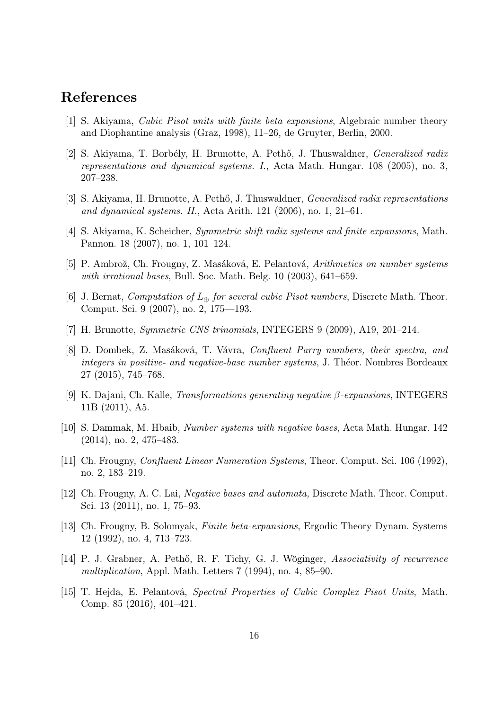### References

- <span id="page-15-1"></span>[1] S. Akiyama, Cubic Pisot units with finite beta expansions, Algebraic number theory and Diophantine analysis (Graz, 1998), 11–26, de Gruyter, Berlin, 2000.
- <span id="page-15-2"></span>[2] S. Akiyama, T. Borbély, H. Brunotte, A. Pethő, J. Thuswaldner, *Generalized radix* representations and dynamical systems. I., Acta Math. Hungar. 108 (2005), no. 3, 207–238.
- <span id="page-15-7"></span>[3] S. Akiyama, H. Brunotte, A. Pethő, J. Thuswaldner, *Generalized radix representations* and dynamical systems. II., Acta Arith. 121 (2006), no. 1, 21–61.
- <span id="page-15-5"></span>[4] S. Akiyama, K. Scheicher, Symmetric shift radix systems and finite expansions, Math. Pannon. 18 (2007), no. 1, 101–124.
- [5] P. Ambrož, Ch. Frougny, Z. Masáková, E. Pelantová, Arithmetics on number systems with irrational bases, Bull. Soc. Math. Belg. 10 (2003), 641–659.
- [6] J. Bernat, *Computation of*  $L_{\oplus}$  *for several cubic Pisot numbers*, Discrete Math. Theor. Comput. Sci. 9 (2007), no. 2, 175—193.
- <span id="page-15-6"></span>[7] H. Brunotte, Symmetric CNS trinomials, INTEGERS 9 (2009), A19, 201–214.
- [8] D. Dombek, Z. Masáková, T. Vávra, Confluent Parry numbers, their spectra, and integers in positive- and negative-base number systems, J. Théor. Nombres Bordeaux 27 (2015), 745–768.
- [9] K. Dajani, Ch. Kalle, *Transformations generating negative β-expansions*, INTEGERS 11B (2011), A5.
- <span id="page-15-4"></span>[10] S. Dammak, M. Hbaib, Number systems with negative bases, Acta Math. Hungar. 142 (2014), no. 2, 475–483.
- [11] Ch. Frougny, Confluent Linear Numeration Systems, Theor. Comput. Sci. 106 (1992), no. 2, 183–219.
- <span id="page-15-3"></span>[12] Ch. Frougny, A. C. Lai, Negative bases and automata, Discrete Math. Theor. Comput. Sci. 13 (2011), no. 1, 75–93.
- <span id="page-15-0"></span>[13] Ch. Frougny, B. Solomyak, Finite beta-expansions, Ergodic Theory Dynam. Systems 12 (1992), no. 4, 713–723.
- [14] P. J. Grabner, A. Pethő, R. F. Tichy, G. J. Wöginger, Associativity of recurrence multiplication, Appl. Math. Letters 7 (1994), no. 4, 85–90.
- [15] T. Hejda, E. Pelantová, Spectral Properties of Cubic Complex Pisot Units, Math. Comp. 85 (2016), 401–421.